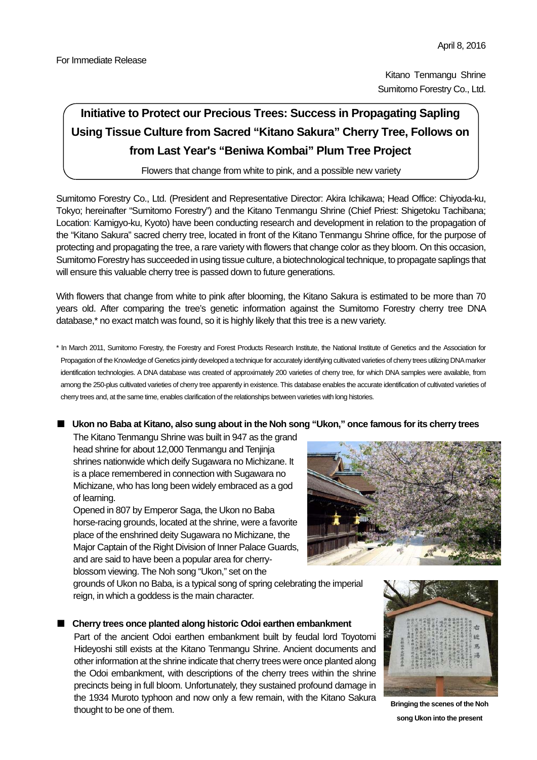Kitano Tenmangu Shrine Sumitomo Forestry Co., Ltd.

# **Initiative to Protect our Precious Trees: Success in Propagating Sapling Using Tissue Culture from Sacred "Kitano Sakura" Cherry Tree, Follows on from Last Year's "Beniwa Kombai" Plum Tree Project**

Flowers that change from white to pink, and a possible new variety

Sumitomo Forestry Co., Ltd. (President and Representative Director: Akira Ichikawa; Head Office: Chiyoda-ku, Tokyo; hereinafter "Sumitomo Forestry") and the Kitano Tenmangu Shrine (Chief Priest: Shigetoku Tachibana; Location: Kamigyo-ku, Kyoto) have been conducting research and development in relation to the propagation of the "Kitano Sakura" sacred cherry tree, located in front of the Kitano Tenmangu Shrine office, for the purpose of protecting and propagating the tree, a rare variety with flowers that change color as they bloom. On this occasion, Sumitomo Forestry has succeeded in using tissue culture, a biotechnological technique, to propagate saplings that will ensure this valuable cherry tree is passed down to future generations.

With flowers that change from white to pink after blooming, the Kitano Sakura is estimated to be more than 70 years old. After comparing the tree's genetic information against the Sumitomo Forestry cherry tree DNA database,\* no exact match was found, so it is highly likely that this tree is a new variety.

\* In March 2011, Sumitomo Forestry, the Forestry and Forest Products Research Institute, the National Institute of Genetics and the Association for Propagation of the Knowledge of Genetics jointly developed a technique for accurately identifying cultivated varieties of cherry trees utilizing DNA marker identification technologies. A DNA database was created of approximately 200 varieties of cherry tree, for which DNA samples were available, from among the 250-plus cultivated varieties of cherry tree apparently in existence. This database enables the accurate identification of cultivated varieties of cherry trees and, at the same time, enables clarification of the relationships between varieties with long histories.

# ■ Ukon no Baba at Kitano, also sung about in the Noh song "Ukon," once famous for its cherry trees

The Kitano Tenmangu Shrine was built in 947 as the grand head shrine for about 12,000 Tenmangu and Tenjinja shrines nationwide which deify Sugawara no Michizane. It is a place remembered in connection with Sugawara no Michizane, who has long been widely embraced as a god of learning.

Opened in 807 by Emperor Saga, the Ukon no Baba horse-racing grounds, located at the shrine, were a favorite place of the enshrined deity Sugawara no Michizane, the Major Captain of the Right Division of Inner Palace Guards, and are said to have been a popular area for cherryblossom viewing. The Noh song "Ukon," set on the



grounds of Ukon no Baba, is a typical song of spring celebrating the imperial reign, in which a goddess is the main character.

# ■ Cherry trees once planted along historic Odoi earthen embankment

Part of the ancient Odoi earthen embankment built by feudal lord Toyotomi Hideyoshi still exists at the Kitano Tenmangu Shrine. Ancient documents and other information at the shrine indicate that cherry trees were once planted along the Odoi embankment, with descriptions of the cherry trees within the shrine precincts being in full bloom. Unfortunately, they sustained profound damage in the 1934 Muroto typhoon and now only a few remain, with the Kitano Sakura thought to be one of them.<br> **Bringing the scenes of the Noh Bringing the scenes of the Noh** 



**song Ukon into the present**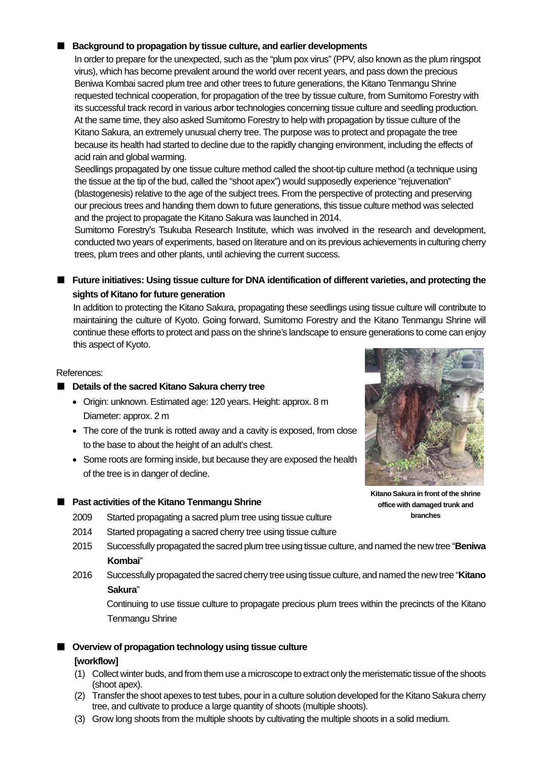# ■ **Background to propagation by tissue culture, and earlier developments**

In order to prepare for the unexpected, such as the "plum pox virus" (PPV, also known as the plum ringspot virus), which has become prevalent around the world over recent years, and pass down the precious Beniwa Kombai sacred plum tree and other trees to future generations, the Kitano Tenmangu Shrine requested technical cooperation, for propagation of the tree by tissue culture, from Sumitomo Forestry with its successful track record in various arbor technologies concerning tissue culture and seedling production. At the same time, they also asked Sumitomo Forestry to help with propagation by tissue culture of the Kitano Sakura, an extremely unusual cherry tree. The purpose was to protect and propagate the tree because its health had started to decline due to the rapidly changing environment, including the effects of acid rain and global warming.

Seedlings propagated by one tissue culture method called the shoot-tip culture method (a technique using the tissue at the tip of the bud, called the "shoot apex") would supposedly experience "rejuvenation" (blastogenesis) relative to the age of the subject trees. From the perspective of protecting and preserving our precious trees and handing them down to future generations, this tissue culture method was selected and the project to propagate the Kitano Sakura was launched in 2014.

Sumitomo Forestry's Tsukuba Research Institute, which was involved in the research and development, conducted two years of experiments, based on literature and on its previous achievements in culturing cherry trees, plum trees and other plants, until achieving the current success.

# ■ Future initiatives: Using tissue culture for DNA identification of different varieties, and protecting the **sights of Kitano for future generation**

In addition to protecting the Kitano Sakura, propagating these seedlings using tissue culture will contribute to maintaining the culture of Kyoto. Going forward, Sumitomo Forestry and the Kitano Tenmangu Shrine will continue these efforts to protect and pass on the shrine's landscape to ensure generations to come can enjoy this aspect of Kyoto.

### References:

- **Details of the sacred Kitano Sakura cherry tree** 
	- Origin: unknown. Estimated age: 120 years. Height: approx. 8 m Diameter: approx. 2 m
	- The core of the trunk is rotted away and a cavity is exposed, from close to the base to about the height of an adult's chest.
	- Some roots are forming inside, but because they are exposed the health of the tree is in danger of decline.

## ■ **Past activities of the Kitano Tenmangu Shrine**

- 2009 Started propagating a sacred plum tree using tissue culture
- 2014 Started propagating a sacred cherry tree using tissue culture
- 2015 Successfully propagated the sacred plum tree using tissue culture, and named the new tree "**Beniwa Kombai**"
- 2016 Successfully propagated the sacred cherry tree using tissue culture, and named the new tree "**Kitano Sakura**"

 Continuing to use tissue culture to propagate precious plum trees within the precincts of the Kitano Tenmangu Shrine

## ■ **Overview of propagation technology using tissue culture**

#### **[workflow]**

- (1) Collect winter buds, and from them use a microscope to extract only the meristematic tissue of the shoots (shoot apex).
- (2) Transfer the shoot apexes to test tubes, pour in a culture solution developed for the Kitano Sakura cherry tree, and cultivate to produce a large quantity of shoots (multiple shoots).
- (3) Grow long shoots from the multiple shoots by cultivating the multiple shoots in a solid medium.



**Kitano Sakura in front of the shrine office with damaged trunk and branches**